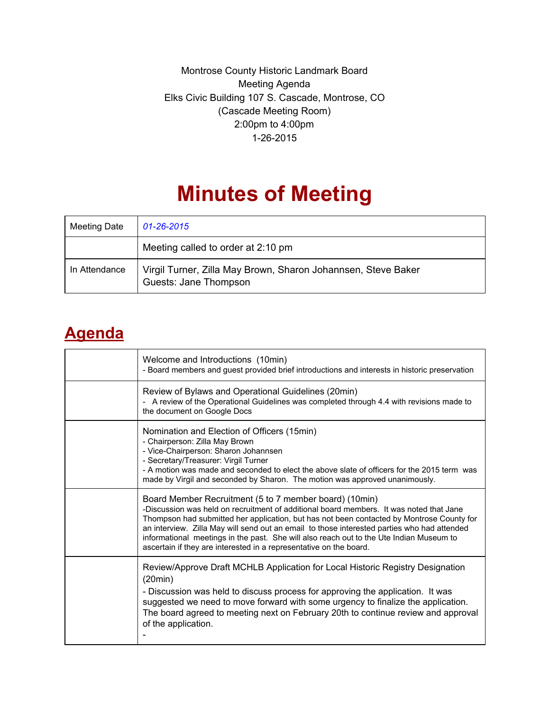Montrose County Historic Landmark Board Meeting Agenda Elks Civic Building 107 S. Cascade, Montrose, CO (Cascade Meeting Room) 2:00pm to 4:00pm 1-26-2015

## **Minutes of Meeting**

| Meeting Date  | 01-26-2015                                                                             |
|---------------|----------------------------------------------------------------------------------------|
|               | Meeting called to order at 2:10 pm                                                     |
| In Attendance | Virgil Turner, Zilla May Brown, Sharon Johannsen, Steve Baker<br>Guests: Jane Thompson |

## **Agenda**

| Welcome and Introductions (10min)<br>- Board members and guest provided brief introductions and interests in historic preservation                                                                                                                                                                                                                                                                                                                                                                             |
|----------------------------------------------------------------------------------------------------------------------------------------------------------------------------------------------------------------------------------------------------------------------------------------------------------------------------------------------------------------------------------------------------------------------------------------------------------------------------------------------------------------|
| Review of Bylaws and Operational Guidelines (20min)<br>- A review of the Operational Guidelines was completed through 4.4 with revisions made to<br>the document on Google Docs                                                                                                                                                                                                                                                                                                                                |
| Nomination and Election of Officers (15min)<br>- Chairperson: Zilla May Brown<br>- Vice-Chairperson: Sharon Johannsen<br>- Secretary/Treasurer: Virgil Turner<br>- A motion was made and seconded to elect the above slate of officers for the 2015 term was<br>made by Virgil and seconded by Sharon. The motion was approved unanimously.                                                                                                                                                                    |
| Board Member Recruitment (5 to 7 member board) (10min)<br>-Discussion was held on recruitment of additional board members. It was noted that Jane<br>Thompson had submitted her application, but has not been contacted by Montrose County for<br>an interview. Zilla May will send out an email to those interested parties who had attended<br>informational meetings in the past. She will also reach out to the Ute Indian Museum to<br>ascertain if they are interested in a representative on the board. |
| Review/Approve Draft MCHLB Application for Local Historic Registry Designation<br>(20min)<br>- Discussion was held to discuss process for approving the application. It was<br>suggested we need to move forward with some urgency to finalize the application.<br>The board agreed to meeting next on February 20th to continue review and approval<br>of the application.                                                                                                                                    |